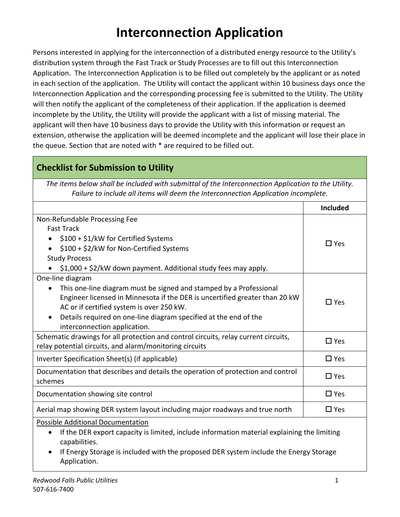# **Interconnection Application**

Persons interested in applying for the interconnection of a distributed energy resource to the Utility's distribution system through the Fast Track or Study Processes are to fill out this Interconnection Application. The Interconnection Application is to be filled out completely by the applicant or as noted in each section of the application. The Utility will contact the applicant within 10 business days once the Interconnection Application and the corresponding processing fee is submitted to the Utility. The Utility will then notify the applicant of the completeness of their application. If the application is deemed incomplete by the Utility, the Utility will provide the applicant with a list of missing material. The applicant will then have 10 business days to provide the Utility with this information or request an extension, otherwise the application will be deemed incomplete and the applicant will lose their place in the queue. Section that are noted with \* are required to be filled out.

## **Checklist for Submission to Utility**

*The items below shall be included with submittal of the Interconnection Application to the Utility. Failure to include all items will deem the Interconnection Application incomplete.*

|                                                                                                          | <b>Included</b> |  |
|----------------------------------------------------------------------------------------------------------|-----------------|--|
| Non-Refundable Processing Fee                                                                            |                 |  |
| <b>Fast Track</b>                                                                                        |                 |  |
| \$100 + \$1/kW for Certified Systems<br>$\bullet$                                                        |                 |  |
| \$100 + \$2/kW for Non-Certified Systems                                                                 | $\Box$ Yes      |  |
| <b>Study Process</b>                                                                                     |                 |  |
| \$1,000 + \$2/kW down payment. Additional study fees may apply.                                          |                 |  |
| One-line diagram                                                                                         |                 |  |
| This one-line diagram must be signed and stamped by a Professional                                       |                 |  |
| Engineer licensed in Minnesota if the DER is uncertified greater than 20 kW                              | $\Box$ Yes      |  |
| AC or if certified system is over 250 kW.                                                                |                 |  |
| Details required on one-line diagram specified at the end of the<br>$\bullet$                            |                 |  |
| interconnection application.                                                                             |                 |  |
| Schematic drawings for all protection and control circuits, relay current circuits,                      | $\square$ Yes   |  |
| relay potential circuits, and alarm/monitoring circuits                                                  |                 |  |
| Inverter Specification Sheet(s) (if applicable)                                                          | $\Box$ Yes      |  |
| Documentation that describes and details the operation of protection and control                         | $\square$ Yes   |  |
| schemes                                                                                                  |                 |  |
| Documentation showing site control                                                                       | $\square$ Yes   |  |
| Aerial map showing DER system layout including major roadways and true north                             | $\Box$ Yes      |  |
| Possible Additional Documentation                                                                        |                 |  |
| If the DER export capacity is limited, include information material explaining the limiting<br>$\bullet$ |                 |  |
| capabilities.                                                                                            |                 |  |
| If Energy Storage is included with the proposed DER system include the Energy Storage<br>$\bullet$       |                 |  |

Application.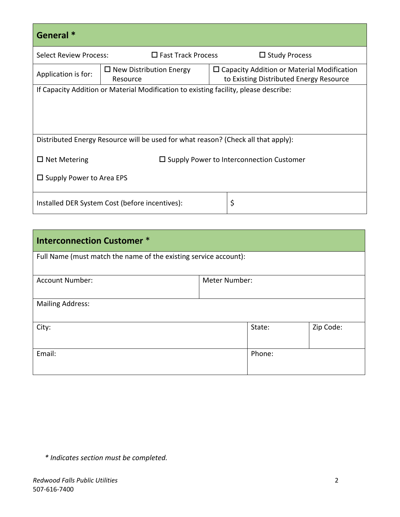| General <sup>*</sup>                                                              |                                                                                      |  |                                                                                                 |  |
|-----------------------------------------------------------------------------------|--------------------------------------------------------------------------------------|--|-------------------------------------------------------------------------------------------------|--|
| <b>Select Review Process:</b>                                                     | $\Box$ Fast Track Process                                                            |  | $\Box$ Study Process                                                                            |  |
| Application is for:                                                               | $\Box$ New Distribution Energy<br>Resource                                           |  | $\square$ Capacity Addition or Material Modification<br>to Existing Distributed Energy Resource |  |
|                                                                                   | If Capacity Addition or Material Modification to existing facility, please describe: |  |                                                                                                 |  |
|                                                                                   |                                                                                      |  |                                                                                                 |  |
|                                                                                   |                                                                                      |  |                                                                                                 |  |
| Distributed Energy Resource will be used for what reason? (Check all that apply): |                                                                                      |  |                                                                                                 |  |
| $\Box$ Net Metering<br>$\Box$ Supply Power to Interconnection Customer            |                                                                                      |  |                                                                                                 |  |
| $\Box$ Supply Power to Area EPS                                                   |                                                                                      |  |                                                                                                 |  |
| \$<br>Installed DER System Cost (before incentives):                              |                                                                                      |  |                                                                                                 |  |

| <b>Interconnection Customer *</b>                                |               |        |           |  |
|------------------------------------------------------------------|---------------|--------|-----------|--|
| Full Name (must match the name of the existing service account): |               |        |           |  |
| <b>Account Number:</b>                                           | Meter Number: |        |           |  |
| <b>Mailing Address:</b>                                          |               |        |           |  |
| City:                                                            |               | State: | Zip Code: |  |
| Email:<br>Phone:                                                 |               |        |           |  |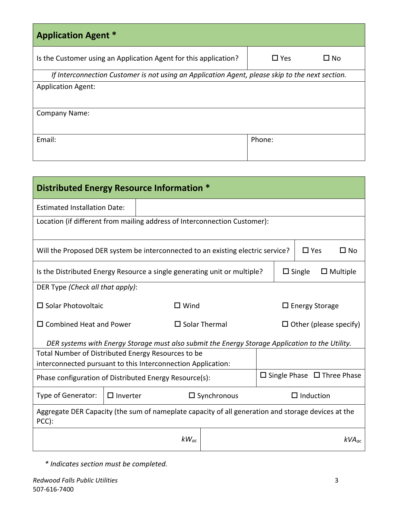| <b>Application Agent *</b>                                                                      |                    |  |  |  |
|-------------------------------------------------------------------------------------------------|--------------------|--|--|--|
| Is the Customer using an Application Agent for this application?                                | $\Box$ Yes<br>∐ No |  |  |  |
| If Interconnection Customer is not using an Application Agent, please skip to the next section. |                    |  |  |  |
| <b>Application Agent:</b>                                                                       |                    |  |  |  |
|                                                                                                 |                    |  |  |  |
| <b>Company Name:</b>                                                                            |                    |  |  |  |
|                                                                                                 |                    |  |  |  |
| Email:                                                                                          | Phone:             |  |  |  |
|                                                                                                 |                    |  |  |  |

| Distributed Energy Resource Information *                                                                   |                                                                                               |           |  |  |               |                 |
|-------------------------------------------------------------------------------------------------------------|-----------------------------------------------------------------------------------------------|-----------|--|--|---------------|-----------------|
| <b>Estimated Installation Date:</b>                                                                         |                                                                                               |           |  |  |               |                 |
| Location (if different from mailing address of Interconnection Customer):                                   |                                                                                               |           |  |  |               |                 |
| Will the Proposed DER system be interconnected to an existing electric service?                             |                                                                                               |           |  |  | $\square$ Yes | $\square$ No    |
| Is the Distributed Energy Resource a single generating unit or multiple?                                    |                                                                                               |           |  |  | $\Box$ Single | $\Box$ Multiple |
| DER Type (Check all that apply):                                                                            |                                                                                               |           |  |  |               |                 |
| $\square$ Solar Photovoltaic                                                                                | $\Box$ Wind<br>$\Box$ Energy Storage                                                          |           |  |  |               |                 |
|                                                                                                             | $\square$ Combined Heat and Power<br>$\square$ Solar Thermal<br>$\Box$ Other (please specify) |           |  |  |               |                 |
| DER systems with Energy Storage must also submit the Energy Storage Application to the Utility.             |                                                                                               |           |  |  |               |                 |
| Total Number of Distributed Energy Resources to be                                                          |                                                                                               |           |  |  |               |                 |
| interconnected pursuant to this Interconnection Application:                                                |                                                                                               |           |  |  |               |                 |
| $\Box$ Single Phase $\Box$ Three Phase<br>Phase configuration of Distributed Energy Resource(s):            |                                                                                               |           |  |  |               |                 |
| $\Box$ Inverter<br>$\Box$ Induction<br>Type of Generator:<br>$\square$ Synchronous                          |                                                                                               |           |  |  |               |                 |
| Aggregate DER Capacity (the sum of nameplate capacity of all generation and storage devices at the<br>PCC): |                                                                                               |           |  |  |               |                 |
|                                                                                                             |                                                                                               | $kW_{ac}$ |  |  |               | $kVA_{ac}$      |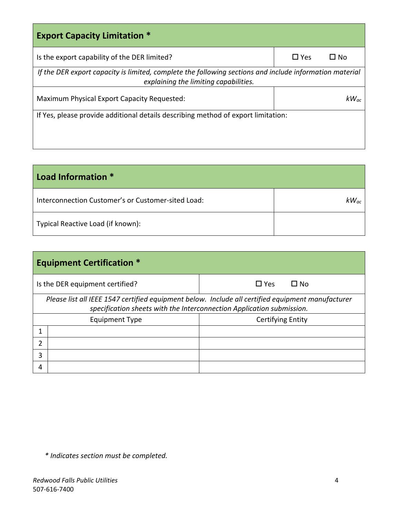| <b>Export Capacity Limitation *</b>                                                                                                              |            |              |  |
|--------------------------------------------------------------------------------------------------------------------------------------------------|------------|--------------|--|
| Is the export capability of the DER limited?                                                                                                     | $\Box$ Yes | $\square$ No |  |
| If the DER export capacity is limited, complete the following sections and include information material<br>explaining the limiting capabilities. |            |              |  |
| Maximum Physical Export Capacity Requested:                                                                                                      |            | $kW_{ac}$    |  |
| If Yes, please provide additional details describing method of export limitation:                                                                |            |              |  |
|                                                                                                                                                  |            |              |  |
|                                                                                                                                                  |            |              |  |

| Load Information *                                 |           |
|----------------------------------------------------|-----------|
| Interconnection Customer's or Customer-sited Load: | $kW_{ac}$ |
| Typical Reactive Load (if known):                  |           |

|   | <b>Equipment Certification *</b>                                                                                                                                           |                            |  |  |  |
|---|----------------------------------------------------------------------------------------------------------------------------------------------------------------------------|----------------------------|--|--|--|
|   | Is the DER equipment certified?                                                                                                                                            | $\Box$ Yes<br>$\square$ No |  |  |  |
|   | Please list all IEEE 1547 certified equipment below. Include all certified equipment manufacturer<br>specification sheets with the Interconnection Application submission. |                            |  |  |  |
|   | <b>Equipment Type</b>                                                                                                                                                      | <b>Certifying Entity</b>   |  |  |  |
|   |                                                                                                                                                                            |                            |  |  |  |
| າ |                                                                                                                                                                            |                            |  |  |  |
| 3 |                                                                                                                                                                            |                            |  |  |  |
| 4 |                                                                                                                                                                            |                            |  |  |  |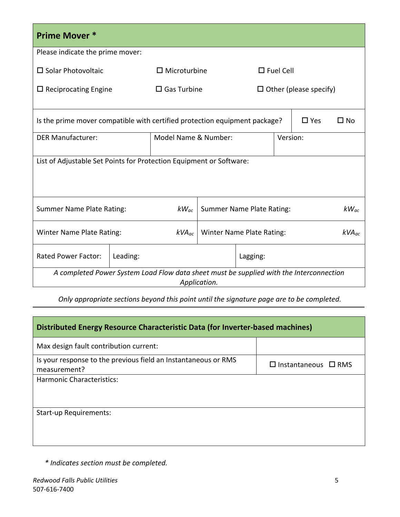| <b>Prime Mover *</b>                                                                                    |          |                      |  |                                  |                  |               |           |
|---------------------------------------------------------------------------------------------------------|----------|----------------------|--|----------------------------------|------------------|---------------|-----------|
| Please indicate the prime mover:                                                                        |          |                      |  |                                  |                  |               |           |
| $\square$ Solar Photovoltaic                                                                            |          | $\Box$ Microturbine  |  |                                  | $\Box$ Fuel Cell |               |           |
| $\Box$ Reciprocating Engine                                                                             |          | $\Box$ Gas Turbine   |  | $\Box$ Other (please specify)    |                  |               |           |
| Is the prime mover compatible with certified protection equipment package?                              |          |                      |  |                                  |                  | $\square$ Yes | □ No      |
| <b>DER Manufacturer:</b>                                                                                |          | Model Name & Number: |  |                                  | Version:         |               |           |
| List of Adjustable Set Points for Protection Equipment or Software:                                     |          |                      |  |                                  |                  |               |           |
| <b>Summer Name Plate Rating:</b>                                                                        |          | $kW_{ac}$            |  | <b>Summer Name Plate Rating:</b> |                  |               | $kW_{ac}$ |
| <b>Winter Name Plate Rating:</b><br>Winter Name Plate Rating:<br>$\mathsf{kVA}_{ac}$                    |          | $kVA_{ac}$           |  |                                  |                  |               |           |
| <b>Rated Power Factor:</b>                                                                              | Leading: |                      |  | Lagging:                         |                  |               |           |
| A completed Power System Load Flow data sheet must be supplied with the Interconnection<br>Application. |          |                      |  |                                  |                  |               |           |

*Only appropriate sections beyond this point until the signature page are to be completed.* 

| Distributed Energy Resource Characteristic Data (for Inverter-based machines)  |                                 |  |  |  |
|--------------------------------------------------------------------------------|---------------------------------|--|--|--|
| Max design fault contribution current:                                         |                                 |  |  |  |
| Is your response to the previous field an Instantaneous or RMS<br>measurement? | $\Box$ Instantaneous $\Box$ RMS |  |  |  |
| <b>Harmonic Characteristics:</b>                                               |                                 |  |  |  |
|                                                                                |                                 |  |  |  |
| <b>Start-up Requirements:</b>                                                  |                                 |  |  |  |
|                                                                                |                                 |  |  |  |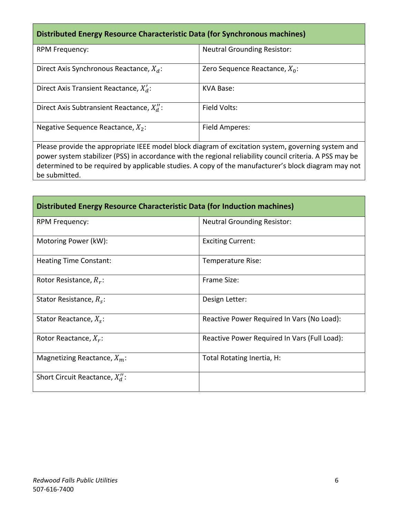### **Distributed Energy Resource Characteristic Data (for Synchronous machines)**

| <b>RPM Frequency:</b>                       | <b>Neutral Grounding Resistor:</b> |
|---------------------------------------------|------------------------------------|
| Direct Axis Synchronous Reactance, $X_d$ :  | Zero Sequence Reactance, $X_0$ :   |
| Direct Axis Transient Reactance, $X'_d$ :   | KVA Base:                          |
| Direct Axis Subtransient Reactance, $X_d$ : | Field Volts:                       |
| Negative Sequence Reactance, $X_2$ :        | Field Amperes:                     |

Please provide the appropriate IEEE model block diagram of excitation system, governing system and power system stabilizer (PSS) in accordance with the regional reliability council criteria. A PSS may be determined to be required by applicable studies. A copy of the manufacturer's block diagram may not be submitted.

| Distributed Energy Resource Characteristic Data (for Induction machines) |                                              |  |  |  |
|--------------------------------------------------------------------------|----------------------------------------------|--|--|--|
| <b>RPM Frequency:</b>                                                    | <b>Neutral Grounding Resistor:</b>           |  |  |  |
| Motoring Power (kW):                                                     | <b>Exciting Current:</b>                     |  |  |  |
| <b>Heating Time Constant:</b>                                            | Temperature Rise:                            |  |  |  |
| Rotor Resistance, $R_r$ :                                                | Frame Size:                                  |  |  |  |
| Stator Resistance, $R_s$ :                                               | Design Letter:                               |  |  |  |
| Stator Reactance, $X_s$ :                                                | Reactive Power Required In Vars (No Load):   |  |  |  |
| Rotor Reactance, $X_r$ :                                                 | Reactive Power Required In Vars (Full Load): |  |  |  |
| Magnetizing Reactance, $X_m$ :                                           | Total Rotating Inertia, H:                   |  |  |  |
| Short Circuit Reactance, $X_d$ :                                         |                                              |  |  |  |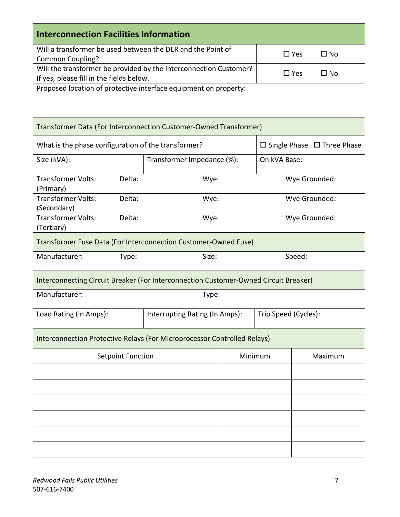| <b>Interconnection Facilities Information</b>                                                                |        |                                |                            |                      |                                        |              |         |
|--------------------------------------------------------------------------------------------------------------|--------|--------------------------------|----------------------------|----------------------|----------------------------------------|--------------|---------|
| Will a transformer be used between the DER and the Point of                                                  |        |                                |                            |                      |                                        |              |         |
| Common Coupling?                                                                                             |        |                                |                            |                      | $\Box$ Yes                             | $\square$ No |         |
| Will the transformer be provided by the Interconnection Customer?                                            |        |                                |                            |                      | $\square$ Yes                          | $\square$ No |         |
| If yes, please fill in the fields below.<br>Proposed location of protective interface equipment on property: |        |                                |                            |                      |                                        |              |         |
|                                                                                                              |        |                                |                            |                      |                                        |              |         |
| Transformer Data (For Interconnection Customer-Owned Transformer)                                            |        |                                |                            |                      |                                        |              |         |
| What is the phase configuration of the transformer?                                                          |        |                                |                            |                      | $\Box$ Single Phase $\Box$ Three Phase |              |         |
| Size (kVA):                                                                                                  |        |                                | Transformer Impedance (%): |                      | On kVA Base:                           |              |         |
| <b>Transformer Volts:</b><br>(Primary)                                                                       | Delta: |                                | Wye:                       |                      | Wye Grounded:                          |              |         |
| <b>Transformer Volts:</b><br>(Secondary)                                                                     | Delta: |                                | Wye:                       |                      | Wye Grounded:                          |              |         |
| <b>Transformer Volts:</b><br>(Tertiary)                                                                      | Delta: |                                | Wye:                       |                      | Wye Grounded:                          |              |         |
| Transformer Fuse Data (For Interconnection Customer-Owned Fuse)                                              |        |                                |                            |                      |                                        |              |         |
| Manufacturer:                                                                                                | Type:  |                                | Size:                      |                      | Speed:                                 |              |         |
| Interconnecting Circuit Breaker (For Interconnection Customer-Owned Circuit Breaker)                         |        |                                |                            |                      |                                        |              |         |
| Manufacturer:                                                                                                |        |                                | Type:                      |                      |                                        |              |         |
| Load Rating (in Amps):                                                                                       |        | Interrupting Rating (In Amps): |                            | Trip Speed (Cycles): |                                        |              |         |
| Interconnection Protective Relays (For Microprocessor Controlled Relays)                                     |        |                                |                            |                      |                                        |              |         |
| <b>Setpoint Function</b>                                                                                     |        |                                |                            | Minimum              |                                        |              | Maximum |
|                                                                                                              |        |                                |                            |                      |                                        |              |         |
|                                                                                                              |        |                                |                            |                      |                                        |              |         |
|                                                                                                              |        |                                |                            |                      |                                        |              |         |
|                                                                                                              |        |                                |                            |                      |                                        |              |         |
|                                                                                                              |        |                                |                            |                      |                                        |              |         |
|                                                                                                              |        |                                |                            |                      |                                        |              |         |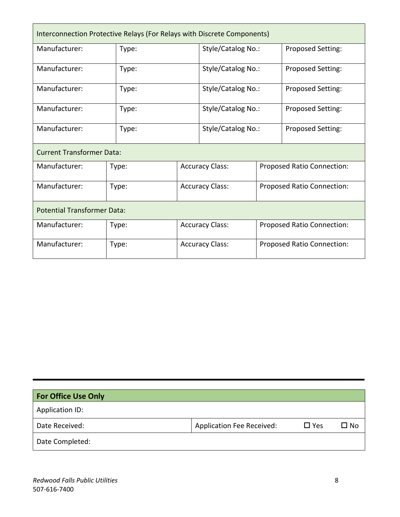| Interconnection Protective Relays (For Relays with Discrete Components) |       |                        |                        |                            |                            |  |
|-------------------------------------------------------------------------|-------|------------------------|------------------------|----------------------------|----------------------------|--|
| Manufacturer:                                                           | Type: |                        | Style/Catalog No.:     |                            | Proposed Setting:          |  |
| Manufacturer:                                                           | Type: |                        | Style/Catalog No.:     |                            | Proposed Setting:          |  |
| Manufacturer:                                                           | Type: |                        | Style/Catalog No.:     |                            | Proposed Setting:          |  |
| Manufacturer:                                                           | Type: |                        | Style/Catalog No.:     |                            | Proposed Setting:          |  |
| Manufacturer:                                                           | Type: |                        | Style/Catalog No.:     |                            | Proposed Setting:          |  |
| <b>Current Transformer Data:</b>                                        |       |                        |                        |                            |                            |  |
| Manufacturer:                                                           | Type: | <b>Accuracy Class:</b> |                        | Proposed Ratio Connection: |                            |  |
| Manufacturer:                                                           | Type: | <b>Accuracy Class:</b> |                        | Proposed Ratio Connection: |                            |  |
| <b>Potential Transformer Data:</b>                                      |       |                        |                        |                            |                            |  |
| Manufacturer:                                                           | Type: | <b>Accuracy Class:</b> |                        | Proposed Ratio Connection: |                            |  |
| Manufacturer:                                                           | Type: |                        | <b>Accuracy Class:</b> |                            | Proposed Ratio Connection: |  |

| <b>For Office Use Only</b> |                                  |               |      |
|----------------------------|----------------------------------|---------------|------|
| Application ID:            |                                  |               |      |
| Date Received:             | <b>Application Fee Received:</b> | $\square$ Yes | □ No |
| Date Completed:            |                                  |               |      |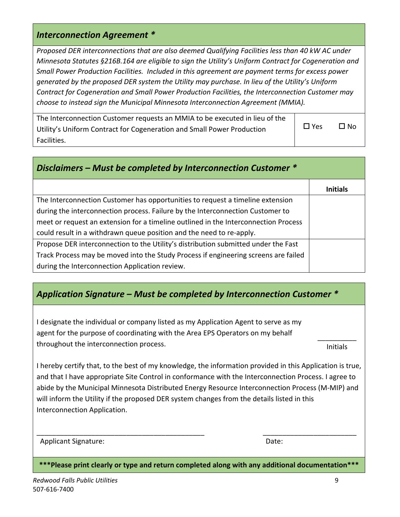#### *Interconnection Agreement \**

*Proposed DER interconnections that are also deemed Qualifying Facilities less than 40 kW AC under Minnesota Statutes §216B.164 are eligible to sign the Utility's Uniform Contract for Cogeneration and Small Power Production Facilities. Included in this agreement are payment terms for excess power generated by the proposed DER system the Utility may purchase. In lieu of the Utility's Uniform Contract for Cogeneration and Small Power Production Facilities, the Interconnection Customer may choose to instead sign the Municipal Minnesota Interconnection Agreement (MMIA).* 

| The Interconnection Customer requests an MMIA to be executed in lieu of the |            |              |
|-----------------------------------------------------------------------------|------------|--------------|
| Utility's Uniform Contract for Cogeneration and Small Power Production      | $\Box$ Yes | $\square$ No |
| Facilities.                                                                 |            |              |

| Disclaimers – Must be completed by Interconnection Customer $*$                     |                 |  |  |  |
|-------------------------------------------------------------------------------------|-----------------|--|--|--|
|                                                                                     | <b>Initials</b> |  |  |  |
| The Interconnection Customer has opportunities to request a timeline extension      |                 |  |  |  |
| during the interconnection process. Failure by the Interconnection Customer to      |                 |  |  |  |
| meet or request an extension for a timeline outlined in the Interconnection Process |                 |  |  |  |
| could result in a withdrawn queue position and the need to re-apply.                |                 |  |  |  |
| Propose DER interconnection to the Utility's distribution submitted under the Fast  |                 |  |  |  |
| Track Process may be moved into the Study Process if engineering screens are failed |                 |  |  |  |
| during the Interconnection Application review.                                      |                 |  |  |  |

## *Application Signature – Must be completed by Interconnection Customer \**

I designate the individual or company listed as my Application Agent to serve as my agent for the purpose of coordinating with the Area EPS Operators on my behalf throughout the interconnection process.

Initials

I hereby certify that, to the best of my knowledge, the information provided in this Application is true, and that I have appropriate Site Control in conformance with the Interconnection Process. I agree to abide by the Municipal Minnesota Distributed Energy Resource Interconnection Process (M‐MIP) and will inform the Utility if the proposed DER system changes from the details listed in this Interconnection Application.

| <b>Applicant Signature:</b> | Date: |
|-----------------------------|-------|
|-----------------------------|-------|

**\*\*\*Please print clearly or type and return completed along with any additional documentation\*\*\*** 

\_\_\_\_\_\_\_\_\_\_\_\_\_\_\_\_\_\_\_\_\_\_\_\_\_\_\_\_\_\_\_\_\_\_\_\_\_\_\_\_\_\_\_ \_\_\_\_\_\_\_\_\_\_\_\_\_\_\_\_\_\_\_\_\_\_\_\_